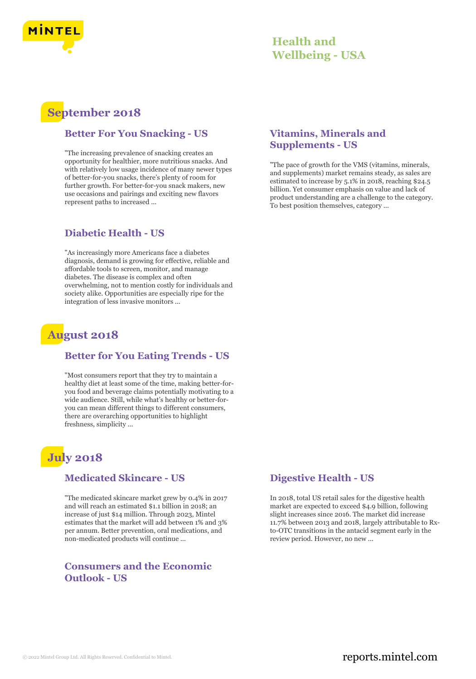

## **Health and Wellbeing - USA**

# **September 2018**

#### **Better For You Snacking - US**

"The increasing prevalence of snacking creates an opportunity for healthier, more nutritious snacks. And with relatively low usage incidence of many newer types of better-for-you snacks, there's plenty of room for further growth. For better-for-you snack makers, new use occasions and pairings and exciting new flavors represent paths to increased ...

### **Diabetic Health - US**

"As increasingly more Americans face a diabetes diagnosis, demand is growing for effective, reliable and affordable tools to screen, monitor, and manage diabetes. The disease is complex and often overwhelming, not to mention costly for individuals and society alike. Opportunities are especially ripe for the integration of less invasive monitors ...

## **August 2018**

#### **Better for You Eating Trends - US**

"Most consumers report that they try to maintain a healthy diet at least some of the time, making better-foryou food and beverage claims potentially motivating to a wide audience. Still, while what's healthy or better-foryou can mean different things to different consumers, there are overarching opportunities to highlight freshness, simplicity ...

# **July 2018**

#### **Medicated Skincare - US**

"The medicated skincare market grew by 0.4% in 2017 and will reach an estimated \$1.1 billion in 2018; an increase of just \$14 million. Through 2023, Mintel estimates that the market will add between 1% and 3% per annum. Better prevention, oral medications, and non-medicated products will continue ...

#### **Consumers and the Economic Outlook - US**

#### **Vitamins, Minerals and Supplements - US**

"The pace of growth for the VMS (vitamins, minerals, and supplements) market remains steady, as sales are estimated to increase by 5.1% in 2018, reaching \$24.5 billion. Yet consumer emphasis on value and lack of product understanding are a challenge to the category. To best position themselves, category ...

### **Digestive Health - US**

In 2018, total US retail sales for the digestive health market are expected to exceed \$4.9 billion, following slight increases since 2016. The market did increase 11.7% between 2013 and 2018, largely attributable to Rxto-OTC transitions in the antacid segment early in the review period. However, no new ...